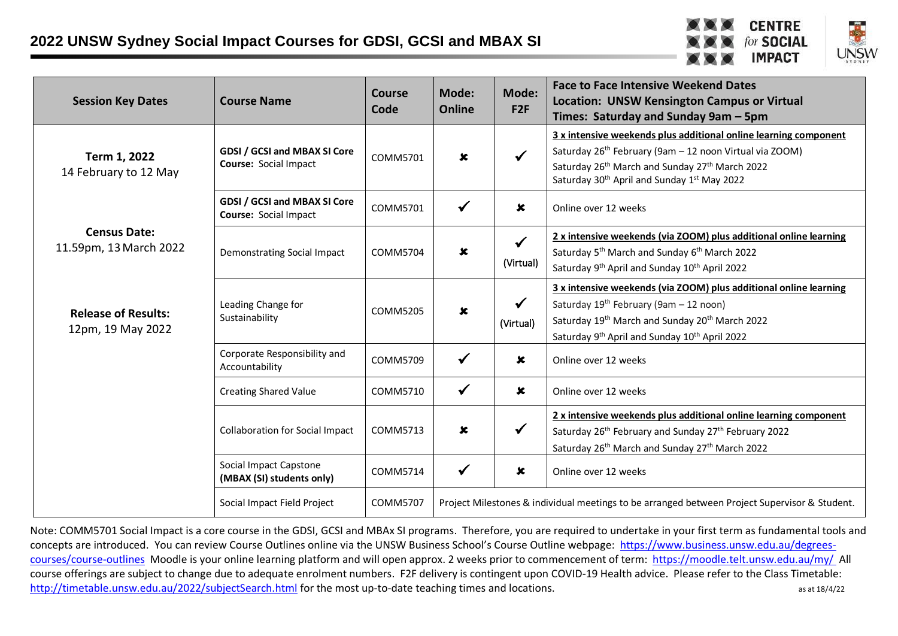



| <b>Session Key Dates</b>                        | <b>Course Name</b>                                                  | <b>Course</b><br>Code                                                                                            | Mode:<br><b>Online</b>    | Mode:<br>F2F              | <b>Face to Face Intensive Weekend Dates</b><br><b>Location: UNSW Kensington Campus or Virtual</b><br>Times: Saturday and Sunday 9am - 5pm                                                                                                                        |
|-------------------------------------------------|---------------------------------------------------------------------|------------------------------------------------------------------------------------------------------------------|---------------------------|---------------------------|------------------------------------------------------------------------------------------------------------------------------------------------------------------------------------------------------------------------------------------------------------------|
| Term 1, 2022<br>14 February to 12 May           | <b>GDSI / GCSI and MBAX SI Core</b><br><b>Course: Social Impact</b> | COMM5701                                                                                                         | $\mathbf x$               | $\checkmark$              | 3 x intensive weekends plus additional online learning component<br>Saturday 26 <sup>th</sup> February (9am - 12 noon Virtual via ZOOM)<br>Saturday 26th March and Sunday 27th March 2022<br>Saturday 30 <sup>th</sup> April and Sunday 1 <sup>st</sup> May 2022 |
|                                                 | <b>GDSI / GCSI and MBAX SI Core</b><br>Course: Social Impact        | COMM5701                                                                                                         | $\checkmark$              | $\mathbf x$               | Online over 12 weeks                                                                                                                                                                                                                                             |
| <b>Census Date:</b><br>11.59pm, 13 March 2022   | Demonstrating Social Impact                                         | COMM5704                                                                                                         | $\boldsymbol{\mathsf{x}}$ | $\checkmark$<br>(Virtual) | 2 x intensive weekends (via ZOOM) plus additional online learning<br>Saturday 5 <sup>th</sup> March and Sunday 6 <sup>th</sup> March 2022<br>Saturday 9 <sup>th</sup> April and Sunday 10 <sup>th</sup> April 2022                                               |
| <b>Release of Results:</b><br>12pm, 19 May 2022 | Leading Change for<br>Sustainability                                | COMM5205                                                                                                         | $\boldsymbol{\mathsf{x}}$ | $\checkmark$<br>(Virtual) | 3 x intensive weekends (via ZOOM) plus additional online learning<br>Saturday $19^{th}$ February (9am - 12 noon)<br>Saturday 19th March and Sunday 20th March 2022<br>Saturday 9 <sup>th</sup> April and Sunday 10 <sup>th</sup> April 2022                      |
|                                                 | Corporate Responsibility and<br>Accountability                      | COMM5709                                                                                                         | $\checkmark$              | $\pmb{\times}$            | Online over 12 weeks                                                                                                                                                                                                                                             |
|                                                 | <b>Creating Shared Value</b>                                        | COMM5710                                                                                                         | $\checkmark$              | $\mathbf x$               | Online over 12 weeks                                                                                                                                                                                                                                             |
|                                                 | <b>Collaboration for Social Impact</b>                              | COMM5713                                                                                                         | $\boldsymbol{\mathsf{x}}$ | $\checkmark$              | 2 x intensive weekends plus additional online learning component<br>Saturday 26 <sup>th</sup> February and Sunday 27 <sup>th</sup> February 2022<br>Saturday 26 <sup>th</sup> March and Sunday 27 <sup>th</sup> March 2022                                       |
|                                                 | Social Impact Capstone<br>(MBAX (SI) students only)                 | COMM5714                                                                                                         | $\checkmark$              | $\pmb{\times}$            | Online over 12 weeks                                                                                                                                                                                                                                             |
|                                                 | Social Impact Field Project                                         | Project Milestones & individual meetings to be arranged between Project Supervisor & Student.<br><b>COMM5707</b> |                           |                           |                                                                                                                                                                                                                                                                  |

Note: COMM5701 Social Impact is a core course in the GDSI, GCSI and MBAx SI programs. Therefore, you are required to undertake in your first term as fundamental tools and concepts are introduced. You can review Course Outlines online via the UNSW Business School's Course Outline webpage: [https://www.business.unsw.edu.au/degrees](https://www.business.unsw.edu.au/degrees-courses/course-outlines)[courses/course-outlines](https://www.business.unsw.edu.au/degrees-courses/course-outlines) Moodle is your online learning platform and will open approx. 2 weeks prior to commencement of term: <https://moodle.telt.unsw.edu.au/my/> All course offerings are subject to change due to adequate enrolment numbers. F2F delivery is contingent upon COVID-19 Health advice. Please refer to the Class Timetable: <http://timetable.unsw.edu.au/2022/subjectSearch.html> for the most up-to-date teaching times and locations.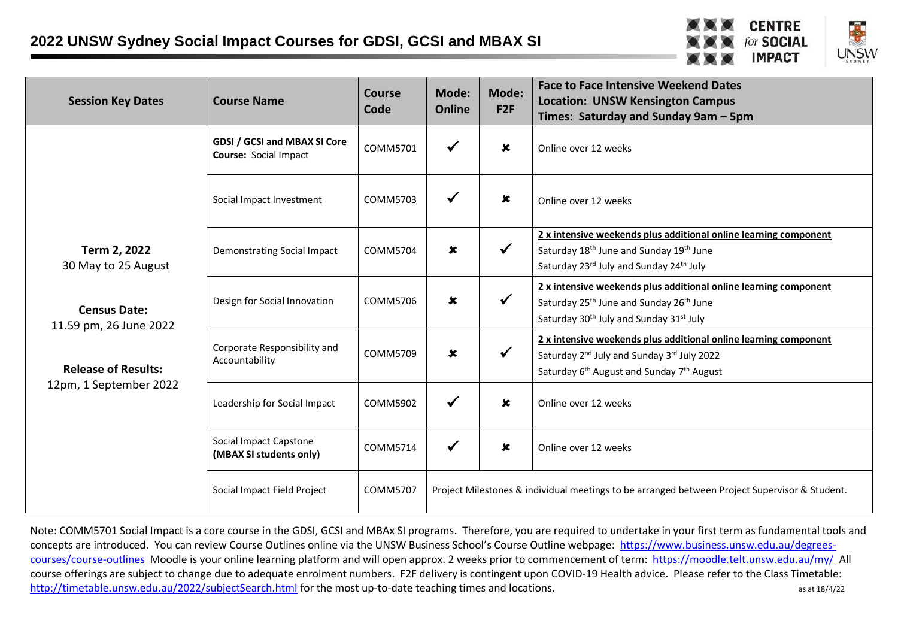



| <b>Session Key Dates</b>                                                                                                                     | <b>Course Name</b>                                           | <b>Course</b><br>Code | Mode:<br><b>Online</b> | Mode:<br>F2F              | <b>Face to Face Intensive Weekend Dates</b><br><b>Location: UNSW Kensington Campus</b><br>Times: Saturday and Sunday 9am - 5pm                                                                              |
|----------------------------------------------------------------------------------------------------------------------------------------------|--------------------------------------------------------------|-----------------------|------------------------|---------------------------|-------------------------------------------------------------------------------------------------------------------------------------------------------------------------------------------------------------|
| Term 2, 2022<br>30 May to 25 August<br><b>Census Date:</b><br>11.59 pm, 26 June 2022<br><b>Release of Results:</b><br>12pm, 1 September 2022 | GDSI / GCSI and MBAX SI Core<br><b>Course: Social Impact</b> | COMM5701              | $\checkmark$           | $\boldsymbol{\mathsf{x}}$ | Online over 12 weeks                                                                                                                                                                                        |
|                                                                                                                                              | Social Impact Investment                                     | COMM5703              | $\checkmark$           | $\boldsymbol{\mathsf{x}}$ | Online over 12 weeks                                                                                                                                                                                        |
|                                                                                                                                              | Demonstrating Social Impact                                  | COMM5704              | $\pmb{\times}$         | $\checkmark$              | 2 x intensive weekends plus additional online learning component<br>Saturday 18 <sup>th</sup> June and Sunday 19 <sup>th</sup> June<br>Saturday 23rd July and Sunday 24th July                              |
|                                                                                                                                              | Design for Social Innovation                                 | COMM5706              | $\mathbf x$            | $\checkmark$              | 2 x intensive weekends plus additional online learning component<br>Saturday 25 <sup>th</sup> June and Sunday 26 <sup>th</sup> June<br>Saturday 30 <sup>th</sup> July and Sunday 31 <sup>st</sup> July      |
|                                                                                                                                              | Corporate Responsibility and<br>Accountability               | COMM5709              | $\mathbf x$            | $\checkmark$              | 2 x intensive weekends plus additional online learning component<br>Saturday 2 <sup>nd</sup> July and Sunday 3 <sup>rd</sup> July 2022<br>Saturday 6 <sup>th</sup> August and Sunday 7 <sup>th</sup> August |
|                                                                                                                                              | Leadership for Social Impact                                 | COMM5902              | $\checkmark$           | $\boldsymbol{\mathsf{x}}$ | Online over 12 weeks                                                                                                                                                                                        |
|                                                                                                                                              | Social Impact Capstone<br>(MBAX SI students only)            | COMM5714              | $\checkmark$           | $\boldsymbol{\mathsf{x}}$ | Online over 12 weeks                                                                                                                                                                                        |
|                                                                                                                                              | Social Impact Field Project                                  | <b>COMM5707</b>       |                        |                           | Project Milestones & individual meetings to be arranged between Project Supervisor & Student.                                                                                                               |

Note: COMM5701 Social Impact is a core course in the GDSI, GCSI and MBAx SI programs. Therefore, you are required to undertake in your first term as fundamental tools and concepts are introduced. You can review Course Outlines online via the UNSW Business School's Course Outline webpage: [https://www.business.unsw.edu.au/degrees](https://www.business.unsw.edu.au/degrees-courses/course-outlines)[courses/course-outlines](https://www.business.unsw.edu.au/degrees-courses/course-outlines) Moodle is your online learning platform and will open approx. 2 weeks prior to commencement of term: <https://moodle.telt.unsw.edu.au/my/> All course offerings are subject to change due to adequate enrolment numbers. F2F delivery is contingent upon COVID-19 Health advice. Please refer to the Class Timetable: <http://timetable.unsw.edu.au/2022/subjectSearch.html> for the most up-to-date teaching times and locations.